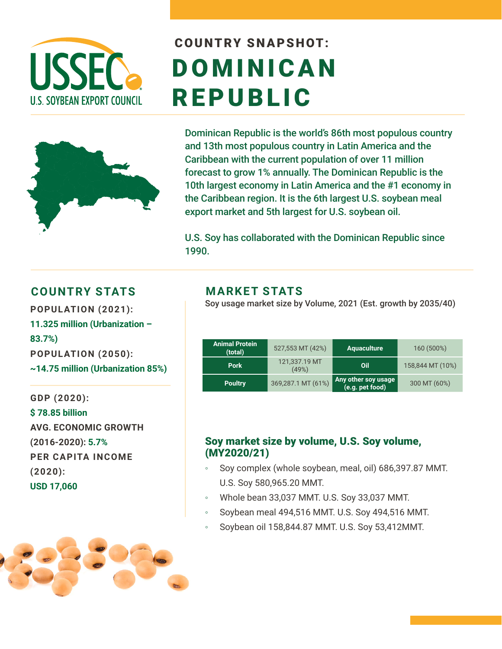

# COUNTRY SNAPSHOT: DOMINICAN REPUBLIC



Dominican Republic is the world's 86th most populous country and 13th most populous country in Latin America and the Caribbean with the current population of over 11 million forecast to grow 1% annually. The Dominican Republic is the 10th largest economy in Latin America and the #1 economy in the Caribbean region. It is the 6th largest U.S. soybean meal export market and 5th largest for U.S. soybean oil.

U.S. Soy has collaborated with the Dominican Republic since 1990.

#### **COUNTRY STATS MARKET STATS**

**11.325 million (Urbanization – 83.7%) POPULATION (2050): ~14.75 million (Urbanization 85%)** 

**GDP (2020): \$ 78.85 billion AVG. ECONOMIC GROWTH (2016-2020): 5.7% PER CAPITA INCOME (2020): USD 17,060**

Soy usage market size by Volume, 2021 (Est. growth by 2035/40) **POPULATION (2021):** 

| <b>Animal Protein</b><br>(total) | 527,553 MT (42%)       | <b>Aquaculture</b>                     | 160 (500%)       |
|----------------------------------|------------------------|----------------------------------------|------------------|
| <b>Pork</b>                      | 121,337.19 MT<br>(49%) | Oil                                    | 158,844 MT (10%) |
| <b>Poultry</b>                   | 369,287.1 MT (61%)     | Any other soy usage<br>(e.g. pet food) | 300 MT (60%)     |

#### Soy market size by volume, U.S. Soy volume, (MY2020/21)

- Soy complex (whole soybean, meal, oil) 686,397.87 MMT. U.S. Soy 580,965.20 MMT.
- Whole bean 33,037 MMT. U.S. Soy 33,037 MMT.
- Soybean meal 494,516 MMT. U.S. Soy 494,516 MMT.
- Soybean oil 158,844.87 MMT. U.S. Soy 53,412MMT.